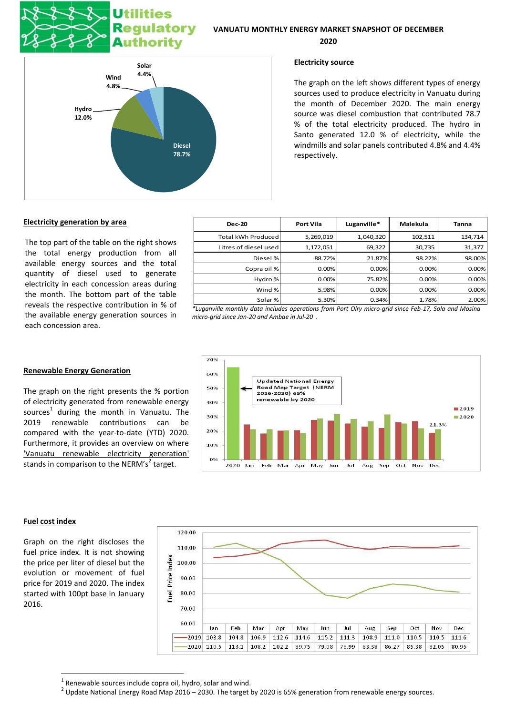# **Utilities** Regulatory **Authority**



**2020**



# **Electricity source**

The graph on the left shows different types of energy sources used to produce electricity in Vanuatu during the month of December 2020. The main energy source was diesel combustion that contributed 78.7 % of the total electricity produced. The hydro in Santo generated 12.0 % of electricity, while the windmills and solar panels contributed 4.8% and 4.4% respectively.

# **Electricity generation by area**

The top part of the table on the right shows the total energy production from all available energy sources and the total quantity of diesel used to generate electricity in each concession areas during the month. The bottom part of the table reveals the respective contribution in % of the available energy generation sources in each concession area.

| <b>Dec-20</b>             | <b>Port Vila</b> | Luganville* | Malekula   | Tanna   |
|---------------------------|------------------|-------------|------------|---------|
| <b>Total kWh Produced</b> | 5,269,019        | 1,040,320   | 102,511    | 134,714 |
| Litres of diesel used     | 1,172,051        | 69,322      | 30,735     | 31,377  |
| Diesel %                  | 88.72%           | 21.87%      | 98.22%     | 98.00%  |
| Copra oil %               | 0.00%            | 0.00%       | 0.00%      | 0.00%   |
| Hydro %                   | 0.00%            | 75.82%      | 0.00%      | 0.00%   |
| Wind %                    | 5.98%            | 0.00%       | 0.00%      | 0.00%   |
| Solar%                    | 5.30%            | 0.34%       | 1.78%      | 2.00%   |
| . .<br>                   |                  | .           | - - -- - - | .       |

*\*Luganville monthly data includes operations from Port Olry micro-grid since Feb-17, Sola and Mosina micro-grid since Jan-20 and Ambae in Jul-20 .*



# **Renewable Energy Generation**

The graph on the right presents the % portion of electricity generated from renewable energy sources<sup>1</sup> during the month in Vanuatu. The 2019 renewable contributions can be compared with the year-to-date (YTD) 2020. Furthermore, it provides an overview on where 'Vanuatu renewable electricity generation' stands in comparison to the NERM's<sup>2</sup> target.

# **Fuel cost index**

**.** 

Graph on the right discloses the fuel price index. It is not showing the price per liter of diesel but the evolution or movement of fuel price for 2019 and 2020. The index started with 100pt base in January 2016.



 $1$  Renewable sources include copra oil, hydro, solar and wind.

 $^2$  Update National Energy Road Map 2016 – 2030. The target by 2020 is 65% generation from renewable energy sources.